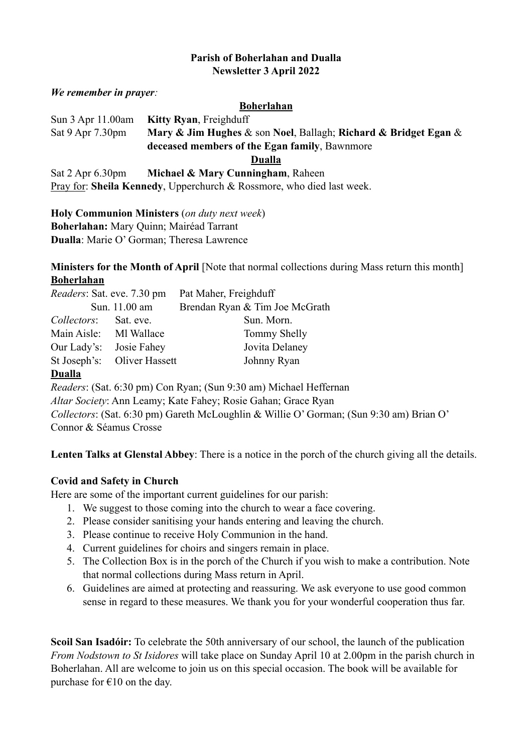#### **Parish of Boherlahan and Dualla Newsletter 3 April 2022**

*We remember in prayer:* 

#### **Boherlahan**

Sun 3 Apr 11.00am **Kitty Ryan**, Freighduff Sat 9 Apr 7.30pm **Mary & Jim Hughes** & son **Noel**, Ballagh; **Richard & Bridget Egan** & **deceased members of the Egan family**, Bawnmore **Dualla** Sat 2 Apr 6.30pm **Michael & Mary Cunningham**, Raheen Pray for: **Sheila Kennedy**, Upperchurch & Rossmore, who died last week.

**Holy Communion Ministers** (*on duty next week*)

**Boherlahan:** Mary Quinn; Mairéad Tarrant

**Dualla**: Marie O' Gorman; Theresa Lawrence

**Ministers for the Month of April** [Note that normal collections during Mass return this month] **Boherlahan**

| <i>Readers:</i> Sat. eve. 7.30 pm |                             | Pat Maher, Freighduff          |
|-----------------------------------|-----------------------------|--------------------------------|
| Sun. 11.00 am                     |                             | Brendan Ryan & Tim Joe McGrath |
| <i>Collectors:</i>                | Sat. eve.                   | Sun. Morn.                     |
| Main Aisle: MI Wallace            |                             | Tommy Shelly                   |
| Our Lady's:                       | Josie Fahey                 | Jovita Delaney                 |
|                                   | St Joseph's: Oliver Hassett | Johnny Ryan                    |

#### **Dualla**

*Readers*: (Sat. 6:30 pm) Con Ryan; (Sun 9:30 am) Michael Heffernan *Altar Society*: Ann Leamy; Kate Fahey; Rosie Gahan; Grace Ryan *Collectors*: (Sat. 6:30 pm) Gareth McLoughlin & Willie O' Gorman; (Sun 9:30 am) Brian O' Connor & Séamus Crosse

**Lenten Talks at Glenstal Abbey**: There is a notice in the porch of the church giving all the details.

# **Covid and Safety in Church**

Here are some of the important current guidelines for our parish:

- 1. We suggest to those coming into the church to wear a face covering.
- 2. Please consider sanitising your hands entering and leaving the church.
- 3. Please continue to receive Holy Communion in the hand.
- 4. Current guidelines for choirs and singers remain in place.
- 5. The Collection Box is in the porch of the Church if you wish to make a contribution. Note that normal collections during Mass return in April.
- 6. Guidelines are aimed at protecting and reassuring. We ask everyone to use good common sense in regard to these measures. We thank you for your wonderful cooperation thus far.

**Scoil San Isadóir:** To celebrate the 50th anniversary of our school, the launch of the publication *From Nodstown to St Isidores* will take place on Sunday April 10 at 2.00pm in the parish church in Boherlahan. All are welcome to join us on this special occasion. The book will be available for purchase for  $\epsilon$ 10 on the day.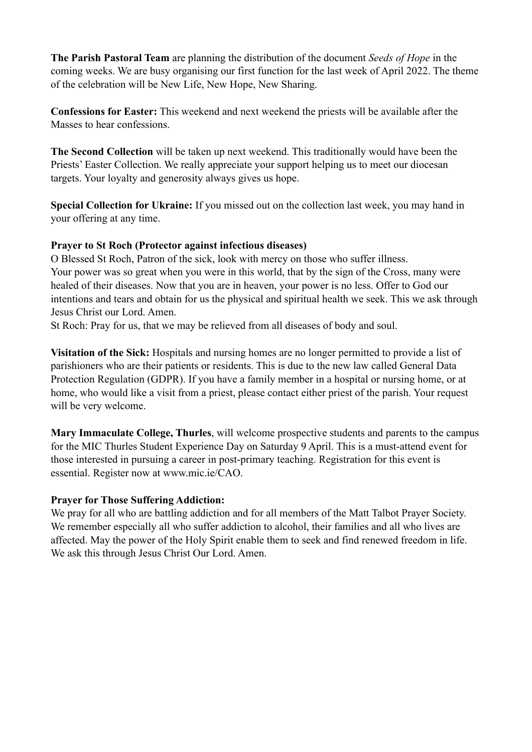**The Parish Pastoral Team** are planning the distribution of the document *Seeds of Hope* in the coming weeks. We are busy organising our first function for the last week of April 2022. The theme of the celebration will be New Life, New Hope, New Sharing.

**Confessions for Easter:** This weekend and next weekend the priests will be available after the Masses to hear confessions.

**The Second Collection** will be taken up next weekend. This traditionally would have been the Priests' Easter Collection. We really appreciate your support helping us to meet our diocesan targets. Your loyalty and generosity always gives us hope.

**Special Collection for Ukraine:** If you missed out on the collection last week, you may hand in your offering at any time.

# **Prayer to St Roch (Protector against infectious diseases)**

O Blessed St Roch, Patron of the sick, look with mercy on those who suffer illness. Your power was so great when you were in this world, that by the sign of the Cross, many were healed of their diseases. Now that you are in heaven, your power is no less. Offer to God our intentions and tears and obtain for us the physical and spiritual health we seek. This we ask through Jesus Christ our Lord. Amen.

St Roch: Pray for us, that we may be relieved from all diseases of body and soul.

**Visitation of the Sick:** Hospitals and nursing homes are no longer permitted to provide a list of parishioners who are their patients or residents. This is due to the new law called General Data Protection Regulation (GDPR). If you have a family member in a hospital or nursing home, or at home, who would like a visit from a priest, please contact either priest of the parish. Your request will be very welcome.

**Mary Immaculate College, Thurles**, will welcome prospective students and parents to the campus for the MIC Thurles Student Experience Day on Saturday 9 April. This is a must-attend event for those interested in pursuing a career in post-primary teaching. Registration for this event is essential. Register now at www.mic.ie/CAO.

# **Prayer for Those Suffering Addiction:**

We pray for all who are battling addiction and for all members of the Matt Talbot Prayer Society. We remember especially all who suffer addiction to alcohol, their families and all who lives are affected. May the power of the Holy Spirit enable them to seek and find renewed freedom in life. We ask this through Jesus Christ Our Lord. Amen.